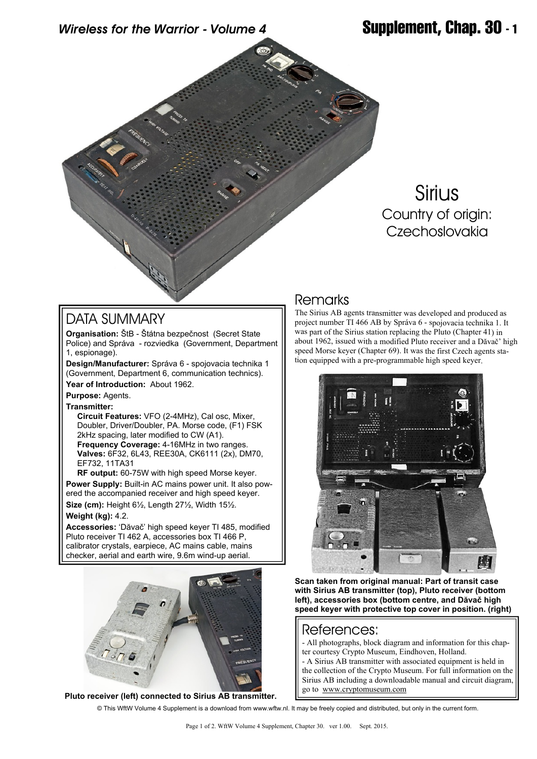*Wireless for the Warrior - Volume 4* **Supplement, Chap. 30 - 1**

# **Sirius** Country of origin: Czechoslovakia

## DATA SUMMARY

**Organisation:** ŠtB - Štátna bezpečnost (Secret State Police) and Správa - rozviedka (Government, Department 1, espionage).

**Design/Manufacturer:** Správa 6 - spojovacia technika 1 (Government, Department 6, communication technics).

**Year of Introduction:** About 1962.

**Purpose:** Agents.

**Transmitter:**

 **Circuit Features:** VFO (2-4MHz), Cal osc, Mixer, Doubler, Driver/Doubler, PA. Morse code, (F1) FSK 2kHz spacing, later modified to CW (A1).  **Frequency Coverage:** 4-16MHz in two ranges.  **Valves:** 6F32, 6L43, REE30A, CK6111 (2x), DM70, EF732, 11TA31

**RF output:** 60-75W with high speed Morse keyer. **Power Supply:** Built-in AC mains power unit. It also powered the accompanied receiver and high speed keyer. **Size (cm):** Height 6½, Length 27½, Width 15½.

### **Weight (kg):** 4.2.

**Accessories:** 'Dăvač' high speed keyer TI 485, modified Pluto receiver TI 462 A, accessories box TI 466 P, calibrator crystals, earpiece, AC mains cable, mains checker, aerial and earth wire, 9.6m wind-up aerial.



**Pluto receiver (left) connected to Sirius AB transmitter.**

## Remarks

The Sirius AB agents transmitter was developed and produced as project number TI 466 AB by Správa 6 - spojovacia technika 1. It was part of the Sirius station replacing the Pluto (Chapter 41) in about 1962, issued with a modified Pluto receiver and a Dăvač' high speed Morse keyer (Chapter 69). It was the first Czech agents station equipped with a pre-programmable high speed keyer.



**Scan taken from original manual: Part of transit case with Sirius AB transmitter (top), Pluto receiver (bottom left), accessories box (bottom centre, and Dăvač high speed keyer with protective top cover in position. (right)**

### References:

- All photographs, block diagram and information for this chapter courtesy Crypto Museum, Eindhoven, Holland.

- A Sirius AB transmitter with associated equipment is held in the collection of the Crypto Museum. For full information on the Sirius AB including a downloadable manual and circuit diagram, go to [www.cryptomuseum.com](http://www.cryptomuseum.com)

© This WftW Volume 4 Supplement is a download from www.wftw.nl. It may be freely copied and distributed, but only in the current form.